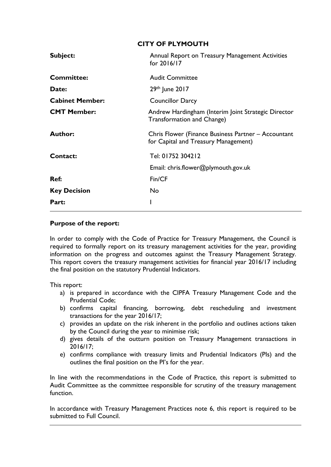| <b>CITY OF PLYMOUTH</b>                                                                     |  |  |  |  |  |  |
|---------------------------------------------------------------------------------------------|--|--|--|--|--|--|
| Annual Report on Treasury Management Activities<br>for 2016/17                              |  |  |  |  |  |  |
| <b>Audit Committee</b>                                                                      |  |  |  |  |  |  |
| 29th June 2017                                                                              |  |  |  |  |  |  |
| <b>Councillor Darcy</b>                                                                     |  |  |  |  |  |  |
| Andrew Hardingham (Interim Joint Strategic Director<br><b>Transformation and Change)</b>    |  |  |  |  |  |  |
| Chris Flower (Finance Business Partner – Accountant<br>for Capital and Treasury Management) |  |  |  |  |  |  |
| Tel: 01752 304212                                                                           |  |  |  |  |  |  |
| Email: chris.flower@plymouth.gov.uk                                                         |  |  |  |  |  |  |
| Fin/CF                                                                                      |  |  |  |  |  |  |
| <b>No</b>                                                                                   |  |  |  |  |  |  |
|                                                                                             |  |  |  |  |  |  |
|                                                                                             |  |  |  |  |  |  |

### **Purpose of the report:**

In order to comply with the Code of Practice for Treasury Management, the Council is required to formally report on its treasury management activities for the year, providing information on the progress and outcomes against the Treasury Management Strategy. This report covers the treasury management activities for financial year 2016/17 including the final position on the statutory Prudential Indicators.

This report:

- a) is prepared in accordance with the CIPFA Treasury Management Code and the Prudential Code;
- b) confirms capital financing, borrowing, debt rescheduling and investment transactions for the year 2016/17;
- c) provides an update on the risk inherent in the portfolio and outlines actions taken by the Council during the year to minimise risk;
- d) gives details of the outturn position on Treasury Management transactions in 2016/17;
- e) confirms compliance with treasury limits and Prudential Indicators (PIs) and the outlines the final position on the PI's for the year.

In line with the recommendations in the Code of Practice, this report is submitted to Audit Committee as the committee responsible for scrutiny of the treasury management function.

In accordance with Treasury Management Practices note 6, this report is required to be submitted to Full Council.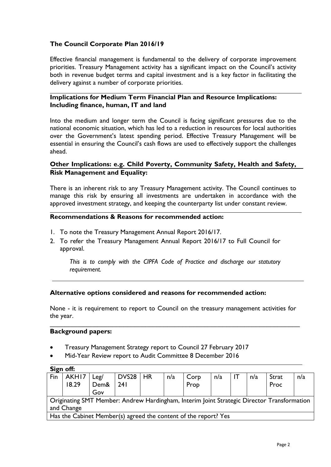# **The Council Corporate Plan 2016/19**

Effective financial management is fundamental to the delivery of corporate improvement priorities. Treasury Management activity has a significant impact on the Council's activity both in revenue budget terms and capital investment and is a key factor in facilitating the delivery against a number of corporate priorities.

### **Implications for Medium Term Financial Plan and Resource Implications: Including finance, human, IT and land**

Into the medium and longer term the Council is facing significant pressures due to the national economic situation, which has led to a reduction in resources for local authorities over the Government's latest spending period. Effective Treasury Management will be essential in ensuring the Council's cash flows are used to effectively support the challenges ahead.

### **Other Implications: e.g. Child Poverty, Community Safety, Health and Safety, Risk Management and Equality:**

There is an inherent risk to any Treasury Management activity. The Council continues to manage this risk by ensuring all investments are undertaken in accordance with the approved investment strategy, and keeping the counterparty list under constant review.

### **Recommendations & Reasons for recommended action:**

- 1. To note the Treasury Management Annual Report 2016/17.
- 2. To refer the Treasury Management Annual Report 2016/17 to Full Council for approval.

*This is to comply with the CIPFA Code of Practice and discharge our statutory requirement.*

#### **Alternative options considered and reasons for recommended action:**

None - it is requirement to report to Council on the treasury management activities for the year.

\_\_\_\_\_\_\_\_\_\_\_\_\_\_\_\_\_\_\_\_\_\_\_\_\_\_\_\_\_\_\_\_\_\_\_\_\_\_\_\_\_\_\_\_\_\_\_\_\_\_\_\_\_\_\_\_\_\_\_\_\_\_\_\_\_\_\_\_

#### **Background papers:**

- Treasury Management Strategy report to Council 27 February 2017
- Mid-Year Review report to Audit Committee 8 December 2016

|                                                                                            | Sign off:                                                       |      |                   |    |     |      |     |     |       |     |
|--------------------------------------------------------------------------------------------|-----------------------------------------------------------------|------|-------------------|----|-----|------|-----|-----|-------|-----|
| Fin                                                                                        | AKHI7                                                           | Leg/ | DVS <sub>28</sub> | HR | n/a | Corp | n/a | n/a | Strat | n/a |
|                                                                                            | 18.29                                                           | Dem& | 241               |    |     | Prop |     |     | Proc  |     |
|                                                                                            |                                                                 | Gov  |                   |    |     |      |     |     |       |     |
| Originating SMT Member: Andrew Hardingham, Interim Joint Strategic Director Transformation |                                                                 |      |                   |    |     |      |     |     |       |     |
| and Change                                                                                 |                                                                 |      |                   |    |     |      |     |     |       |     |
|                                                                                            | Has the Cabinet Member(s) agreed the content of the report? Yes |      |                   |    |     |      |     |     |       |     |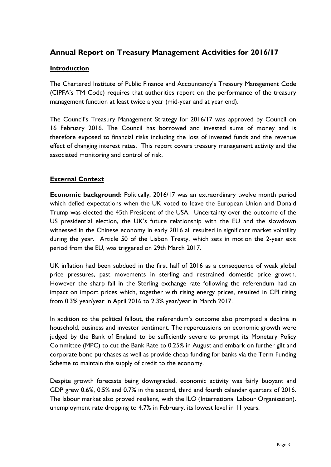# **Annual Report on Treasury Management Activities for 2016/17**

### **Introduction**

The Chartered Institute of Public Finance and Accountancy's Treasury Management Code (CIPFA's TM Code) requires that authorities report on the performance of the treasury management function at least twice a year (mid-year and at year end).

The Council's Treasury Management Strategy for 2016/17 was approved by Council on 16 February 2016. The Council has borrowed and invested sums of money and is therefore exposed to financial risks including the loss of invested funds and the revenue effect of changing interest rates. This report covers treasury management activity and the associated monitoring and control of risk.

### **External Context**

**Economic background:** Politically, 2016/17 was an extraordinary twelve month period which defied expectations when the UK voted to leave the European Union and Donald Trump was elected the 45th President of the USA. Uncertainty over the outcome of the US presidential election, the UK's future relationship with the EU and the slowdown witnessed in the Chinese economy in early 2016 all resulted in significant market volatility during the year. Article 50 of the Lisbon Treaty, which sets in motion the 2-year exit period from the EU, was triggered on 29th March 2017.

UK inflation had been subdued in the first half of 2016 as a consequence of weak global price pressures, past movements in sterling and restrained domestic price growth. However the sharp fall in the Sterling exchange rate following the referendum had an impact on import prices which, together with rising energy prices, resulted in CPI rising from 0.3% year/year in April 2016 to 2.3% year/year in March 2017.

In addition to the political fallout, the referendum's outcome also prompted a decline in household, business and investor sentiment. The repercussions on economic growth were judged by the Bank of England to be sufficiently severe to prompt its Monetary Policy Committee (MPC) to cut the Bank Rate to 0.25% in August and embark on further gilt and corporate bond purchases as well as provide cheap funding for banks via the Term Funding Scheme to maintain the supply of credit to the economy.

Despite growth forecasts being downgraded, economic activity was fairly buoyant and GDP grew 0.6%, 0.5% and 0.7% in the second, third and fourth calendar quarters of 2016. The labour market also proved resilient, with the ILO (International Labour Organisation). unemployment rate dropping to 4.7% in February, its lowest level in 11 years.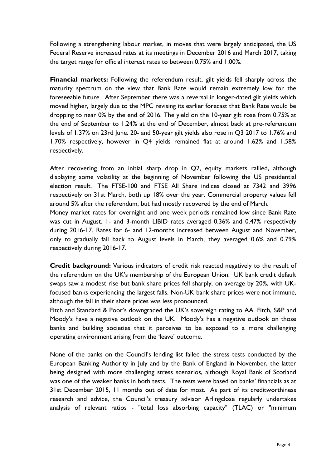Following a strengthening labour market, in moves that were largely anticipated, the US Federal Reserve increased rates at its meetings in December 2016 and March 2017, taking the target range for official interest rates to between 0.75% and 1.00%.

**Financial markets:** Following the referendum result, gilt yields fell sharply across the maturity spectrum on the view that Bank Rate would remain extremely low for the foreseeable future. After September there was a reversal in longer-dated gilt yields which moved higher, largely due to the MPC revising its earlier forecast that Bank Rate would be dropping to near 0% by the end of 2016. The yield on the 10-year gilt rose from 0.75% at the end of September to 1.24% at the end of December, almost back at pre-referendum levels of 1.37% on 23rd June. 20- and 50-year gilt yields also rose in Q3 2017 to 1.76% and 1.70% respectively, however in Q4 yields remained flat at around 1.62% and 1.58% respectively.

After recovering from an initial sharp drop in Q2, equity markets rallied, although displaying some volatility at the beginning of November following the US presidential election result. The FTSE-100 and FTSE All Share indices closed at 7342 and 3996 respectively on 31st March, both up 18% over the year. Commercial property values fell around 5% after the referendum, but had mostly recovered by the end of March.

Money market rates for overnight and one week periods remained low since Bank Rate was cut in August. 1- and 3-month LIBID rates averaged 0.36% and 0.47% respectively during 2016-17. Rates for 6- and 12-months increased between August and November, only to gradually fall back to August levels in March, they averaged 0.6% and 0.79% respectively during 2016-17.

**Credit background:** Various indicators of credit risk reacted negatively to the result of the referendum on the UK's membership of the European Union. UK bank credit default swaps saw a modest rise but bank share prices fell sharply, on average by 20%, with UKfocused banks experiencing the largest falls. Non-UK bank share prices were not immune, although the fall in their share prices was less pronounced.

Fitch and Standard & Poor's downgraded the UK's sovereign rating to AA. Fitch, S&P and Moody's have a negative outlook on the UK. Moody's has a negative outlook on those banks and building societies that it perceives to be exposed to a more challenging operating environment arising from the 'leave' outcome.

None of the banks on the Council's lending list failed the stress tests conducted by the European Banking Authority in July and by the Bank of England in November, the latter being designed with more challenging stress scenarios, although Royal Bank of Scotland was one of the weaker banks in both tests. The tests were based on banks' financials as at 31st December 2015, 11 months out of date for most. As part of its creditworthiness research and advice, the Council's treasury advisor Arlingclose regularly undertakes analysis of relevant ratios - "total loss absorbing capacity" (TLAC) or "minimum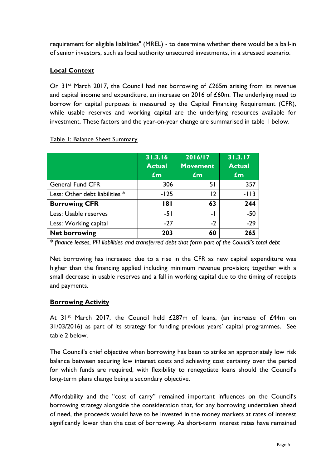requirement for eligible liabilities" (MREL) - to determine whether there would be a bail-in of senior investors, such as local authority unsecured investments, in a stressed scenario.

# **Local Context**

On  $31^{st}$  March 2017, the Council had net borrowing of £265m arising from its revenue and capital income and expenditure, an increase on 2016 of £60m. The underlying need to borrow for capital purposes is measured by the Capital Financing Requirement (CFR), while usable reserves and working capital are the underlying resources available for investment. These factors and the year-on-year change are summarised in table 1 below.

|                                | 31.3.16<br><b>Actual</b><br>$\mathbf{f}$ m | 2016/17<br><b>Movement</b><br>$\mathbf{f}$ m | 31.3.17<br><b>Actual</b><br>$\mathbf{f}$ m |
|--------------------------------|--------------------------------------------|----------------------------------------------|--------------------------------------------|
| <b>General Fund CFR</b>        | 306                                        | 51                                           | 357                                        |
| Less: Other debt liabilities * | $-125$                                     | $\overline{12}$                              | $-113$                                     |
| <b>Borrowing CFR</b>           | 181                                        | 63                                           | 244                                        |
| Less: Usable reserves          | -51                                        | - 1                                          | $-50$                                      |
| Less: Working capital          | $-27$                                      | $-2$                                         | $-29$                                      |
| <b>Net borrowing</b>           | 203                                        | 60                                           | 265                                        |

#### Table 1: Balance Sheet Summary

*\* finance leases, PFI liabilities and transferred debt that form part of the Council's total debt*

Net borrowing has increased due to a rise in the CFR as new capital expenditure was higher than the financing applied including minimum revenue provision; together with a small decrease in usable reserves and a fall in working capital due to the timing of receipts and payments.

### **Borrowing Activity**

At  $31^{st}$  March 2017, the Council held £287m of loans, (an increase of £44m on 31/03/2016) as part of its strategy for funding previous years' capital programmes. See table 2 below.

The Council's chief objective when borrowing has been to strike an appropriately low risk balance between securing low interest costs and achieving cost certainty over the period for which funds are required, with flexibility to renegotiate loans should the Council's long-term plans change being a secondary objective.

Affordability and the "cost of carry" remained important influences on the Council's borrowing strategy alongside the consideration that, for any borrowing undertaken ahead of need, the proceeds would have to be invested in the money markets at rates of interest significantly lower than the cost of borrowing. As short-term interest rates have remained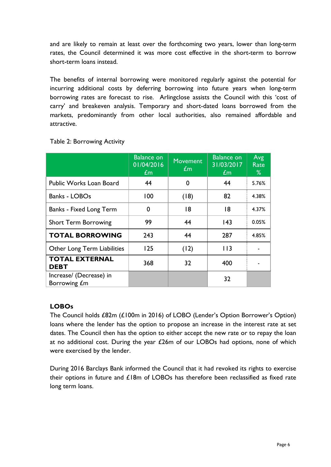and are likely to remain at least over the forthcoming two years, lower than long-term rates, the Council determined it was more cost effective in the short-term to borrow short-term loans instead.

The benefits of internal borrowing were monitored regularly against the potential for incurring additional costs by deferring borrowing into future years when long-term borrowing rates are forecast to rise. Arlingclose assists the Council with this 'cost of carry' and breakeven analysis. Temporary and short-dated loans borrowed from the markets, predominantly from other local authorities, also remained affordable and attractive.

|                                         | <b>Balance on</b><br>01/04/2016<br>$\pounds$ m | <b>Movement</b><br>$\pounds$ m | <b>Balance on</b><br>31/03/2017<br>$\pmb{\pounds}$ m | Avg<br>Rate<br>% |
|-----------------------------------------|------------------------------------------------|--------------------------------|------------------------------------------------------|------------------|
| <b>Public Works Loan Board</b>          | 44                                             | 0                              | 44                                                   | 5.76%            |
| <b>Banks - LOBOs</b>                    | 100                                            | (18)                           | 82                                                   | 4.38%            |
| <b>Banks - Fixed Long Term</b>          | 0                                              | 18                             | 18                                                   | 4.37%            |
| <b>Short Term Borrowing</b>             | 99                                             | 44                             | 143                                                  | 0.05%            |
| <b>TOTAL BORROWING</b>                  | 243                                            | 44                             | 287                                                  | 4.85%            |
| Other Long Term Liabilities             | 125                                            | (12)                           | 113                                                  |                  |
| <b>TOTAL EXTERNAL</b><br><b>DEBT</b>    | 368                                            | 32                             | 400                                                  |                  |
| Increase/ (Decrease) in<br>Borrowing £m |                                                |                                | 32                                                   |                  |

# Table 2: Borrowing Activity

# **LOBOs**

The Council holds £82m (£100m in 2016) of LOBO (Lender's Option Borrower's Option) loans where the lender has the option to propose an increase in the interest rate at set dates. The Council then has the option to either accept the new rate or to repay the loan at no additional cost. During the year £26m of our LOBOs had options, none of which were exercised by the lender.

During 2016 Barclays Bank informed the Council that it had revoked its rights to exercise their options in future and £18m of LOBOs has therefore been reclassified as fixed rate long term loans.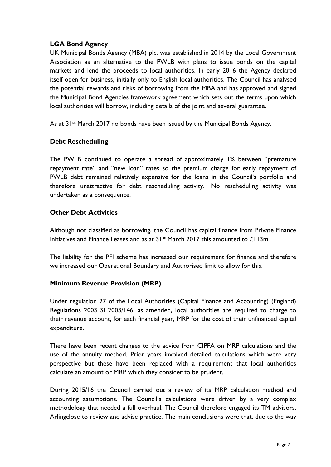## **LGA Bond Agency**

UK Municipal Bonds Agency (MBA) plc. was established in 2014 by the Local Government Association as an alternative to the PWLB with plans to issue bonds on the capital markets and lend the proceeds to local authorities. In early 2016 the Agency declared itself open for business, initially only to English local authorities. The Council has analysed the potential rewards and risks of borrowing from the MBA and has approved and signed the Municipal Bond Agencies framework agreement which sets out the terms upon which local authorities will borrow, including details of the joint and several guarantee.

As at 31<sup>st</sup> March 2017 no bonds have been issued by the Municipal Bonds Agency.

### **Debt Rescheduling**

The PWLB continued to operate a spread of approximately 1% between "premature repayment rate" and "new loan" rates so the premium charge for early repayment of PWLB debt remained relatively expensive for the loans in the Council's portfolio and therefore unattractive for debt rescheduling activity. No rescheduling activity was undertaken as a consequence.

## **Other Debt Activities**

Although not classified as borrowing, the Council has capital finance from Private Finance Initiatives and Finance Leases and as at  $31<sup>st</sup>$  March 2017 this amounted to £113m.

The liability for the PFI scheme has increased our requirement for finance and therefore we increased our Operational Boundary and Authorised limit to allow for this.

### **Minimum Revenue Provision (MRP)**

Under regulation 27 of the Local Authorities (Capital Finance and Accounting) (England) Regulations 2003 SI 2003/146, as amended, local authorities are required to charge to their revenue account, for each financial year, MRP for the cost of their unfinanced capital expenditure.

There have been recent changes to the advice from CIPFA on MRP calculations and the use of the annuity method. Prior years involved detailed calculations which were very perspective but these have been replaced with a requirement that local authorities calculate an amount or MRP which they consider to be prudent.

During 2015/16 the Council carried out a review of its MRP calculation method and accounting assumptions. The Council's calculations were driven by a very complex methodology that needed a full overhaul. The Council therefore engaged its TM advisors, Arlingclose to review and advise practice. The main conclusions were that, due to the way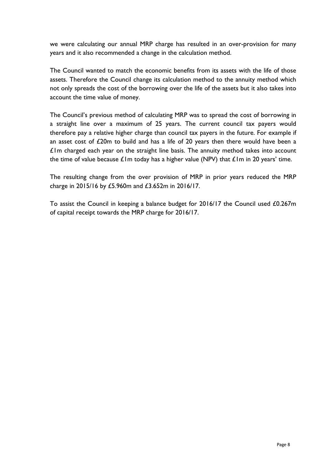we were calculating our annual MRP charge has resulted in an over-provision for many years and it also recommended a change in the calculation method.

The Council wanted to match the economic benefits from its assets with the life of those assets. Therefore the Council change its calculation method to the annuity method which not only spreads the cost of the borrowing over the life of the assets but it also takes into account the time value of money.

The Council's previous method of calculating MRP was to spread the cost of borrowing in a straight line over a maximum of 25 years. The current council tax payers would therefore pay a relative higher charge than council tax payers in the future. For example if an asset cost of £20m to build and has a life of 20 years then there would have been a  $£1m$  charged each year on the straight line basis. The annuity method takes into account the time of value because  $\pounds$ 1m today has a higher value (NPV) that  $\pounds$ 1m in 20 years' time.

The resulting change from the over provision of MRP in prior years reduced the MRP charge in 2015/16 by £5.960m and £3.652m in 2016/17.

To assist the Council in keeping a balance budget for 2016/17 the Council used £0.267m of capital receipt towards the MRP charge for 2016/17.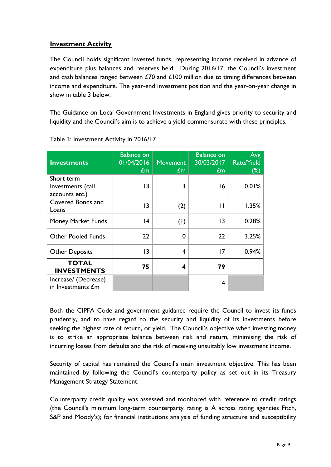## **Investment Activity**

The Council holds significant invested funds, representing income received in advance of expenditure plus balances and reserves held. During 2016/17, the Council's investment and cash balances ranged between  $£70$  and  $£100$  million due to timing differences between income and expenditure. The year-end investment position and the year-on-year change in show in table 3 below.

The Guidance on Local Government Investments in England gives priority to security and liquidity and the Council's aim is to achieve a yield commensurate with these principles.

| <b>Investments</b>                                | <b>Balance on</b><br>01/04/2016<br>$\pounds$ m | <b>Movement</b><br>$\pmb{\pounds}$ m | <b>Balance on</b><br>30/03/2017<br>$\pounds$ m | Avg<br>Rate/Yield<br>$(\%)$ |
|---------------------------------------------------|------------------------------------------------|--------------------------------------|------------------------------------------------|-----------------------------|
| Short term<br>Investments (call<br>accounts etc.) | 3                                              | 3                                    | 16                                             | 0.01%                       |
| Covered Bonds and<br>Loans                        | 13                                             | (2)                                  | П                                              | 1.35%                       |
| Money Market Funds                                | 4                                              | (1)                                  | $\overline{13}$                                | 0.28%                       |
| <b>Other Pooled Funds</b>                         | 22                                             | 0                                    | 22                                             | 3.25%                       |
| <b>Other Deposits</b>                             | 13                                             | 4                                    | 17                                             | 0.94%                       |
| <b>TOTAL</b><br><b>INVESTMENTS</b>                | 75                                             | 4                                    | 79                                             |                             |
| Increase/ (Decrease)<br>in Investments £m         |                                                |                                      | 4                                              |                             |

Table 3: Investment Activity in 2016/17

Both the CIPFA Code and government guidance require the Council to invest its funds prudently, and to have regard to the security and liquidity of its investments before seeking the highest rate of return, or yield. The Council's objective when investing money is to strike an appropriate balance between risk and return, minimising the risk of incurring losses from defaults and the risk of receiving unsuitably low investment income.

Security of capital has remained the Council's main investment objective. This has been maintained by following the Council's counterparty policy as set out in its Treasury Management Strategy Statement.

Counterparty credit quality was assessed and monitored with reference to credit ratings (the Council's minimum long-term counterparty rating is A across rating agencies Fitch, S&P and Moody's); for financial institutions analysis of funding structure and susceptibility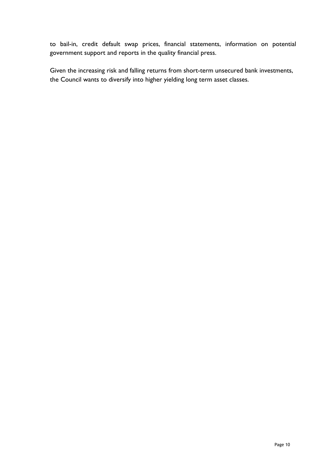to bail-in, credit default swap prices, financial statements, information on potential government support and reports in the quality financial press.

Given the increasing risk and falling returns from short-term unsecured bank investments, the Council wants to diversify into higher yielding long term asset classes.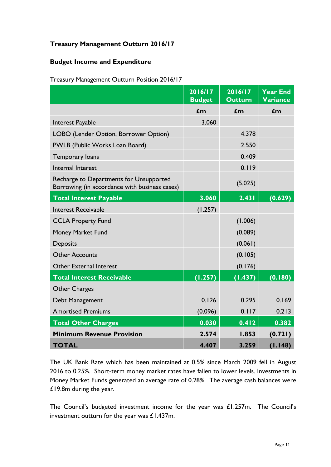# **Treasury Management Outturn 2016/17**

### **Budget Income and Expenditure**

| Treasury Management Outturn Position 2016/17 |  |
|----------------------------------------------|--|
|                                              |  |

|                                                                                          | 2016/17<br><b>Budget</b> | 2016/17<br><b>Outturn</b> | <b>Year End</b><br>Variance |
|------------------------------------------------------------------------------------------|--------------------------|---------------------------|-----------------------------|
|                                                                                          | $\mathbf{f}$ m           | $\mathbf{f}$ m            | $\mathbf{f}$ m              |
| Interest Payable                                                                         | 3.060                    |                           |                             |
| LOBO (Lender Option, Borrower Option)                                                    |                          | 4.378                     |                             |
| PWLB (Public Works Loan Board)                                                           |                          | 2.550                     |                             |
| Temporary loans                                                                          |                          | 0.409                     |                             |
| Internal Interest                                                                        |                          | 0.119                     |                             |
| Recharge to Departments for Unsupported<br>Borrowing (in accordance with business cases) |                          | (5.025)                   |                             |
| <b>Total Interest Payable</b>                                                            | 3.060                    | 2.431                     | (0.629)                     |
| <b>Interest Receivable</b>                                                               | (1.257)                  |                           |                             |
| <b>CCLA Property Fund</b>                                                                |                          | (1.006)                   |                             |
| Money Market Fund                                                                        |                          | (0.089)                   |                             |
| <b>Deposits</b>                                                                          |                          | (0.061)                   |                             |
| <b>Other Accounts</b>                                                                    |                          | (0.105)                   |                             |
| Other External Interest                                                                  |                          | (0.176)                   |                             |
| <b>Total Interest Receivable</b>                                                         | (1.257)                  | (1.437)                   | (0.180)                     |
| <b>Other Charges</b>                                                                     |                          |                           |                             |
| Debt Management                                                                          | 0.126                    | 0.295                     | 0.169                       |
| <b>Amortised Premiums</b>                                                                | (0.096)                  | 0.117                     | 0.213                       |
| <b>Total Other Charges</b>                                                               | 0.030                    | 0.412                     | 0.382                       |
| <b>Minimum Revenue Provision</b>                                                         | 2.574                    | 1.853                     | (0.721)                     |
| <b>TOTAL</b>                                                                             | 4.407                    | 3.259                     | (1.148)                     |

The UK Bank Rate which has been maintained at 0.5% since March 2009 fell in August 2016 to 0.25%. Short-term money market rates have fallen to lower levels. Investments in Money Market Funds generated an average rate of 0.28%. The average cash balances were £19.8m during the year.

The Council's budgeted investment income for the year was £1.257m. The Council's investment outturn for the year was £1.437m.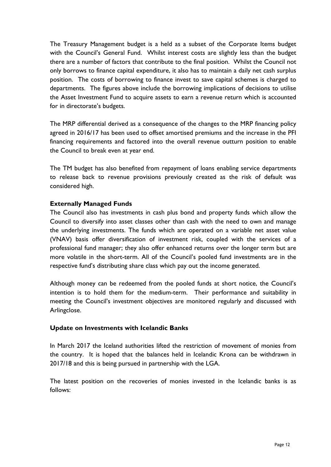The Treasury Management budget is a held as a subset of the Corporate Items budget with the Council's General Fund. Whilst interest costs are slightly less than the budget there are a number of factors that contribute to the final position. Whilst the Council not only borrows to finance capital expenditure, it also has to maintain a daily net cash surplus position. The costs of borrowing to finance invest to save capital schemes is charged to departments. The figures above include the borrowing implications of decisions to utilise the Asset Investment Fund to acquire assets to earn a revenue return which is accounted for in directorate's budgets.

The MRP differential derived as a consequence of the changes to the MRP financing policy agreed in 2016/17 has been used to offset amortised premiums and the increase in the PFI financing requirements and factored into the overall revenue outturn position to enable the Council to break even at year end.

The TM budget has also benefited from repayment of loans enabling service departments to release back to revenue provisions previously created as the risk of default was considered high.

### **Externally Managed Funds**

The Council also has investments in cash plus bond and property funds which allow the Council to diversify into asset classes other than cash with the need to own and manage the underlying investments. The funds which are operated on a variable net asset value (VNAV) basis offer diversification of investment risk, coupled with the services of a professional fund manager; they also offer enhanced returns over the longer term but are more volatile in the short-term. All of the Council's pooled fund investments are in the respective fund's distributing share class which pay out the income generated.

Although money can be redeemed from the pooled funds at short notice, the Council's intention is to hold them for the medium-term. Their performance and suitability in meeting the Council's investment objectives are monitored regularly and discussed with Arlingclose.

#### **Update on Investments with Icelandic Banks**

In March 2017 the Iceland authorities lifted the restriction of movement of monies from the country. It is hoped that the balances held in Icelandic Krona can be withdrawn in 2017/18 and this is being pursued in partnership with the LGA.

The latest position on the recoveries of monies invested in the Icelandic banks is as follows: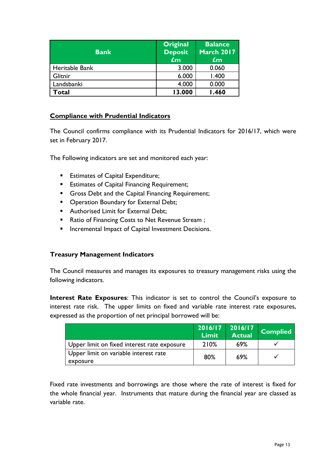| <b>Bank</b>    | Original<br><b>Deposit</b><br>£m | <b>Balance</b><br><b>March 2017</b><br>$\mathbf{f}$ m |
|----------------|----------------------------------|-------------------------------------------------------|
| Heritable Bank | 3.000                            | 0.060                                                 |
| Glitnir        | 6.000                            | 1.400                                                 |
| Landsbanki     | 4.000                            | 0.000                                                 |
| Total          | 13.000                           | <b>1.460</b>                                          |

### **Compliance with Prudential Indicators**

The Council confirms compliance with its Prudential Indicators for 2016/17, which were set in February 2017.

The Following indicators are set and monitored each year:

- **Estimates of Capital Expenditure;**
- **Estimates of Capital Financing Requirement;**
- Gross Debt and the Capital Financing Requirement;
- **Operation Boundary for External Debt;**
- **Authorised Limit for External Debt:**
- Ratio of Financing Costs to Net Revenue Stream;
- **Incremental Impact of Capital Investment Decisions.**

# **Treasury Management Indicators**

The Council measures and manages its exposures to treasury management risks using the following indicators.

**Interest Rate Exposures**: This indicator is set to control the Council's exposure to interest rate risk. The upper limits on fixed and variable rate interest rate exposures, expressed as the proportion of net principal borrowed will be:

|                                                   | 2016/17<br><b>Limit</b> | 2016/17<br>Actual | <b>Complied</b> |
|---------------------------------------------------|-------------------------|-------------------|-----------------|
| Upper limit on fixed interest rate exposure       | 210%                    | 69%               |                 |
| Upper limit on variable interest rate<br>exposure | 80%                     | 69%               |                 |

Fixed rate investments and borrowings are those where the rate of interest is fixed for the whole financial year. Instruments that mature during the financial year are classed as variable rate.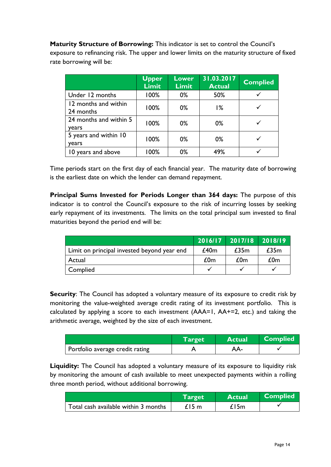**Maturity Structure of Borrowing:** This indicator is set to control the Council's exposure to refinancing risk. The upper and lower limits on the maturity structure of fixed rate borrowing will be:

|                                   | <b>Upper</b><br><b>Limit</b> | <b>Lower</b><br><b>Limit</b> | 31.03.2017<br><b>Actual</b> | <b>Complied</b> |
|-----------------------------------|------------------------------|------------------------------|-----------------------------|-----------------|
| Under 12 months                   | 100%                         | $0\%$                        | 50%                         |                 |
| 12 months and within<br>24 months | 100%                         | $0\%$                        | 1%                          |                 |
| 24 months and within 5<br>years   | 100%                         | $0\%$                        | $0\%$                       |                 |
| 5 years and within 10<br>years    | 100%                         | $0\%$                        | $0\%$                       |                 |
| 10 years and above                | 100%                         | 0%                           | 49%                         |                 |

Time periods start on the first day of each financial year. The maturity date of borrowing is the earliest date on which the lender can demand repayment.

**Principal Sums Invested for Periods Longer than 364 days:** The purpose of this indicator is to control the Council's exposure to the risk of incurring losses by seeking early repayment of its investments. The limits on the total principal sum invested to final maturities beyond the period end will be:

|                                             | 2016/17 | 2017/18 2018/19 |      |
|---------------------------------------------|---------|-----------------|------|
| Limit on principal invested beyond year end | £40m    | £35m            | £35m |
| Actual                                      | £0m     | £0m             | £0m  |
| Complied                                    |         |                 |      |

**Security:** The Council has adopted a voluntary measure of its exposure to credit risk by monitoring the value-weighted average credit rating of its investment portfolio. This is calculated by applying a score to each investment (AAA=1, AA+=2, etc.) and taking the arithmetic average, weighted by the size of each investment.

|                                 | Target | <b>Actual</b> | <b>Complied</b> |
|---------------------------------|--------|---------------|-----------------|
| Portfolio average credit rating |        |               |                 |

**Liquidity:** The Council has adopted a voluntary measure of its exposure to liquidity risk by monitoring the amount of cash available to meet unexpected payments within a rolling three month period, without additional borrowing.

|                                      | Target | <b>Actual</b> | <b>Complied</b> |
|--------------------------------------|--------|---------------|-----------------|
| Total cash available within 3 months | £15 m  | £15m          |                 |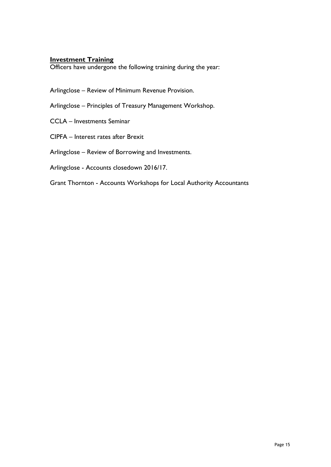#### **Investment Training**

Officers have undergone the following training during the year:

Arlingclose – Review of Minimum Revenue Provision.

Arlingclose – Principles of Treasury Management Workshop.

CCLA – Investments Seminar

CIPFA – Interest rates after Brexit

Arlingclose – Review of Borrowing and Investments.

Arlingclose - Accounts closedown 2016/17.

Grant Thornton - Accounts Workshops for Local Authority Accountants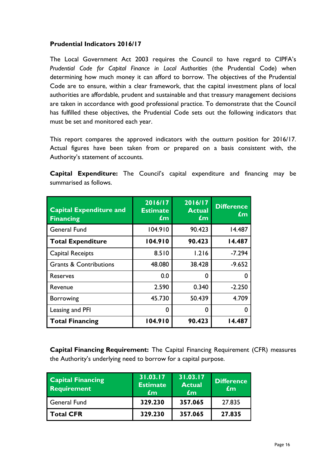### **Prudential Indicators 2016/17**

The Local Government Act 2003 requires the Council to have regard to CIPFA's *Prudential Code for Capital Finance in Local Authorities* (the Prudential Code) when determining how much money it can afford to borrow. The objectives of the Prudential Code are to ensure, within a clear framework, that the capital investment plans of local authorities are affordable, prudent and sustainable and that treasury management decisions are taken in accordance with good professional practice. To demonstrate that the Council has fulfilled these objectives, the Prudential Code sets out the following indicators that must be set and monitored each year.

This report compares the approved indicators with the outturn position for 2016/17. Actual figures have been taken from or prepared on a basis consistent with, the Authority's statement of accounts.

| <b>Capital Expenditure:</b> The Council's capital expenditure and financing may be |  |  |  |  |
|------------------------------------------------------------------------------------|--|--|--|--|
| summarised as follows.                                                             |  |  |  |  |

| <b>Capital Expenditure and</b><br><b>Financing</b> | 2016/17<br><b>Estimate</b><br>£m | 2016/17<br><b>Actual</b><br>£m | <b>Difference</b><br>£m |
|----------------------------------------------------|----------------------------------|--------------------------------|-------------------------|
| <b>General Fund</b>                                | 104.910                          | 90.423                         | 14.487                  |
| <b>Total Expenditure</b>                           | 104.910                          | 90.423                         | 14.487                  |
| Capital Receipts                                   | 8.510                            | 1.216                          | $-7.294$                |
| <b>Grants &amp; Contributions</b>                  | 48.080                           | 38.428                         | $-9.652$                |
| <b>Reserves</b>                                    | 0.0                              | 0                              | O                       |
| Revenue                                            | 2.590                            | 0.340                          | $-2.250$                |
| <b>Borrowing</b>                                   | 45.730                           | 50.439                         | 4.709                   |
| Leasing and PFI                                    | 0                                | 0                              | O                       |
| <b>Total Financing</b>                             | 104.910                          | 90.423                         | 14.487                  |

**Capital Financing Requirement:** The Capital Financing Requirement (CFR) measures the Authority's underlying need to borrow for a capital purpose.

| <b>Capital Financing</b><br><b>Requirement</b> | 31.03.17<br><b>Estimate</b><br>£m | 31.03.17<br><b>Actual</b><br>$\epsilon$ m | <b>Difference</b><br>$\mathbf{f}$ m |
|------------------------------------------------|-----------------------------------|-------------------------------------------|-------------------------------------|
| General Fund                                   | 329.230                           | 357.065                                   | 27.835                              |
| <b>Total CFR</b>                               | 329.230                           | 357.065                                   | 27.835                              |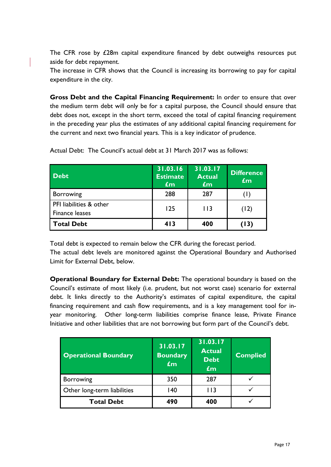The CFR rose by £28m capital expenditure financed by debt outweighs resources put aside for debt repayment.

The increase in CFR shows that the Council is increasing its borrowing to pay for capital expenditure in the city.

**Gross Debt and the Capital Financing Requirement:** In order to ensure that over the medium term debt will only be for a capital purpose, the Council should ensure that debt does not, except in the short term, exceed the total of capital financing requirement in the preceding year plus the estimates of any additional capital financing requirement for the current and next two financial years. This is a key indicator of prudence.

| <b>Debt</b>                               | 31.03.16<br><b>Estimate</b><br>$\mathbf{f}$ m | 31.03.17<br><b>Actual</b><br>$\mathbf{f}$ m | <b>Difference</b><br>$\mathbf{f}$ m |
|-------------------------------------------|-----------------------------------------------|---------------------------------------------|-------------------------------------|
| <b>Borrowing</b>                          | 288                                           | 287                                         | (D)                                 |
| PFI liabilities & other<br>Finance leases | 125                                           | $ $ $ $ $ $                                 | (12)                                |
| <b>Total Debt</b>                         | 413                                           | 400                                         | (13)                                |

Actual Debt: The Council's actual debt at 31 March 2017 was as follows:

Total debt is expected to remain below the CFR during the forecast period.

The actual debt levels are monitored against the Operational Boundary and Authorised Limit for External Debt, below.

**Operational Boundary for External Debt:** The operational boundary is based on the Council's estimate of most likely (i.e. prudent, but not worst case) scenario for external debt. It links directly to the Authority's estimates of capital expenditure, the capital financing requirement and cash flow requirements, and is a key management tool for inyear monitoring. Other long-term liabilities comprise finance lease, Private Finance Initiative and other liabilities that are not borrowing but form part of the Council's debt.

| <b>Operational Boundary</b> | 31.03.17<br><b>Boundary</b><br>£m | 31.03.17<br><b>Actual</b><br><b>Debt</b><br>$f_{\rm{m}}$ | <b>Complied</b> |
|-----------------------------|-----------------------------------|----------------------------------------------------------|-----------------|
| <b>Borrowing</b>            | 350                               | 287                                                      |                 |
| Other long-term liabilities | 140                               | I I 3                                                    |                 |
| <b>Total Debt</b>           | 490                               | 400                                                      |                 |